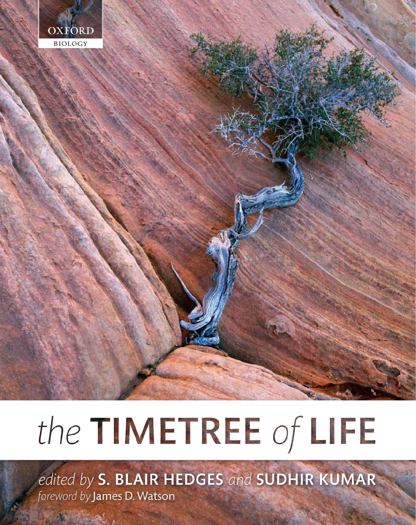

# the TIMETREE of LIFE

edited by S. BLAIR HEDGES and SUDHIR KUMAR foreword by James D. Watson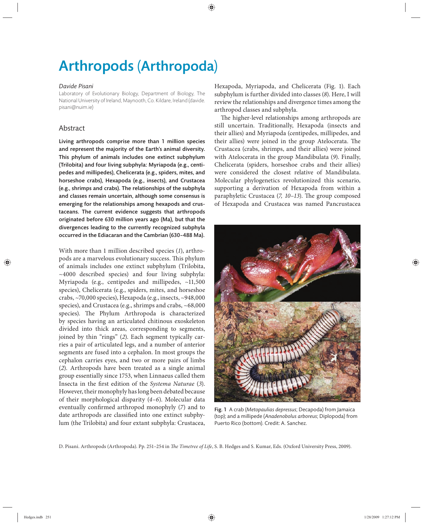# Arthropods (Arthropoda)

#### *Davide Pisani*

Laboratory of Evolutionary Biology, Department of Biology, The National University of Ireland, Maynooth, Co. Kildare, Ireland (davide. pisani@nuim.ie)

## Abstract

Living arthropods comprise more than 1 million species and represent the majority of the Earth's animal diversity. This phylum of animals includes one extinct subphylum (Trilobita) and four living subphyla: Myriapoda (e.g., centipedes and millipedes), Chelicerata (e.g., spiders, mites, and horseshoe crabs), Hexapoda (e.g., insects), and Crustacea (e.g., shrimps and crabs). The relationships of the subphyla and classes remain uncertain, although some consensus is emerging for the relationships among hexapods and crustaceans. The current evidence suggests that arthropods originated before 630 million years ago (Ma), but that the divergences leading to the currently recognized subphyla occurred in the Ediacaran and the Cambrian (630–488 Ma).

With more than 1 million described species (*1*), arthropods are a marvelous evolutionary success. This phylum of animals includes one extinct subphylum (Trilobita, ~4000 described species) and four living subphyla: Myriapoda (e.g., centipedes and millipedes, ~11,500 species), Chelicerata (e.g., spiders, mites, and horseshoe crabs, ~70,000 species), Hexapoda (e.g., insects, ~948,000 species), and Crustacea (e.g., shrimps and crabs, ~68,000 species). The Phylum Arthropoda is characterized by species having an articulated chitinous exoskeleton divided into thick areas, corresponding to segments, joined by thin "rings" (*2*). Each segment typically carries a pair of articulated legs, and a number of anterior segments are fused into a cephalon. In most groups the cephalon carries eyes, and two or more pairs of limbs (*2*). Arthropods have been treated as a single animal group essentially since 1753, when Linnaeus called them Insecta in the first edition of the *Systema Naturae* (3). However, their monophyly has long been debated because of their morphological disparity (*4–6*). Molecular data eventually confirmed arthropod monophyly (7) and to date arthropods are classified into one extinct subphylum (the Trilobita) and four extant subphyla: Crustacea,

Hexapoda, Myriapoda, and Chelicerata (Fig. 1). Each subphylum is further divided into classes (*8*). Here, I will review the relationships and divergence times among the arthropod classes and subphyla.

The higher-level relationships among arthropods are still uncertain. Traditionally, Hexapoda (insects and their allies) and Myriapoda (centipedes, millipedes, and their allies) were joined in the group Atelocerata. The Crustacea (crabs, shrimps, and their allies) were joined with Atelocerata in the group Mandibulata (*9*). Finally, Chelicerata (spiders, horseshoe crabs and their allies) were considered the closest relative of Mandibulata. Molecular phylogenetics revolutionized this scenario, supporting a derivation of Hexapoda from within a paraphyletic Crustacea (*7, 10–13*). The group composed of Hexapoda and Crustacea was named Pancrustacea



Fig. 1 A crab (*Metopaulias depressus*; Decapoda) from Jamaica (top); and a millipede (*Anadenobolus arboreus*; Diplopoda) from Puerto Rico (bottom). Credit: A. Sanchez.

D. Pisani. Arthropods (Arthropoda). Pp. 251-254 in *The Timetree of Life*, S. B. Hedges and S. Kumar, Eds. (Oxford University Press, 2009).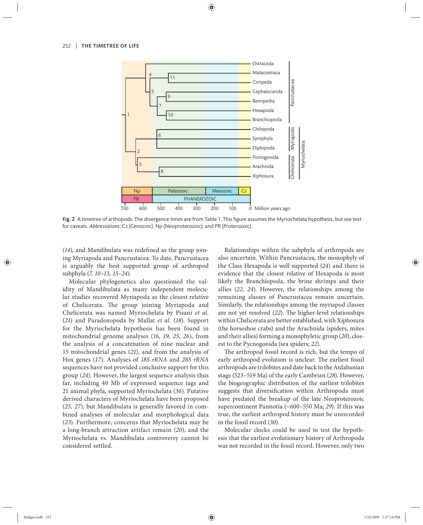

Fig. 2 A timetree of arthopods. The divergence times are from Table 1. This figure assumes the Myriochelata hypothesis, but see text for caveats. *Abbreviations*: Cz (Cenozoic), Np (Neoproterozoic), and PR (Proterozoic).

(14), and Mandibulata was redefined as the group joining Myriapoda and Pancrustacea. To date, Pancrustacea is arguably the best supported group of arthropod subphyla (*7, 10–13, 15–24*).

Molecular phylogenetics also questioned the validity of Mandibulata as many independent molecular studies recovered Myriapoda as the closest relative of Chelicerata. The group joining Myriapoda and Chelicerata was named Myriochelata by Pisani *et al.* (*21*) and Paradoxopoda by Mallat *et al.* (*18*). Support for the Myriochelata hypothesis has been found in mitochondrial genome analyses (*16, 19, 25, 26*), from the analysis of a concatenation of nine nuclear and 15 mitochondrial genes (*21*), and from the analysis of Hox genes (*17*). Analyses of *18S rRNA* and *28S rRNA* sequences have not provided conclusive support for this group (*24*). However, the largest sequence analysis thus far, including 40 Mb of expressed sequence tags and 21 animal phyla, supported Myriochelata (*36*). Putative derived characters of Myriochelata have been proposed (*25, 27*), but Mandibulata is generally favored in combined analyses of molecular and morphological data (*23*). Furthermore, concerns that Myriochelata may be a long-branch attraction artifact remain (*20*), and the Myriochelata vs. Mandibulata controversy cannot be considered settled.

Relationships within the subphyla of arthropods are also uncertain. Within Pancrustacea, the monophyly of the Class Hexapoda is well supported (*24*) and there is evidence that the closest relative of Hexapoda is most likely the Branchiopoda, the brine shrimps and their allies (*22, 24*). However, the relationships among the remaining classes of Pancrustacea remain uncertain. Similarly, the relationships among the myriapod classes are not yet resolved (22). The higher-level relationships within Chelicerata are better established, with Xiphosura (the horseshoe crabs) and the Arachnida (spiders, mites and their allies) forming a monophyletic group (*20*), closest to the Pycnogonida (sea spiders; *22*).

The arthropod fossil record is rich, but the tempo of early arthropod evolution is unclear. The earliest fossil arthropods are trilobites and date back to the Atdabanian stage (523–519 Ma) of the early Cambrian (*28*). However, the biogeographic distribution of the earliest trilobites suggests that diversification within Arthropoda must have predated the breakup of the late Neoproterozoic supercontinent Pannotia (~600–550 Ma; *29*). If this was true, the earliest arthropod history must be unrecorded in the fossil record (*30*).

Molecular clocks could be used to test the hypothesis that the earliest evolutionary history of Arthropoda was not recorded in the fossil record. However, only two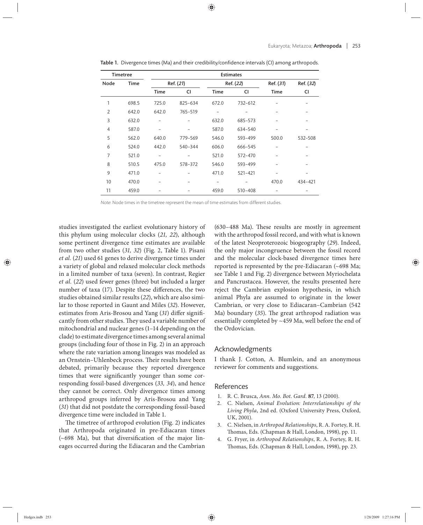| <b>Timetree</b> |             | <b>Estimates</b> |         |             |             |             |           |
|-----------------|-------------|------------------|---------|-------------|-------------|-------------|-----------|
| Node            | <b>Time</b> | Ref. (21)        |         |             | Ref. (22)   |             | Ref. (32) |
|                 |             | <b>Time</b>      | CI      | <b>Time</b> | CI          | <b>Time</b> | CI        |
| 1               | 698.5       | 725.0            | 825-634 | 672.0       | 732-612     |             |           |
| 2               | 642.0       | 642.0            | 765-519 |             |             |             |           |
| 3               | 632.0       |                  |         | 632.0       | 685-573     |             |           |
| $\overline{4}$  | 587.0       |                  |         | 587.0       | 634-540     |             |           |
| 5               | 562.0       | 640.0            | 779-569 | 546.0       | 593-499     | 500.0       | 532-508   |
| 6               | 524.0       | 442.0            | 540-344 | 606.0       | 666-545     |             |           |
| $\overline{7}$  | 521.0       |                  |         | 521.0       | 572-470     |             |           |
| 8               | 510.5       | 475.0            | 578-372 | 546.0       | 593-499     |             |           |
| 9               | 471.0       |                  |         | 471.0       | 521-421     |             |           |
| 10              | 470.0       |                  |         |             |             | 470.0       | 434-421   |
| 11              | 459.0       |                  |         | 459.0       | $510 - 408$ |             |           |

Table 1. Divergence times (Ma) and their credibility/confidence intervals (CI) among arthropods.

Note: Node times in the timetree represent the mean of time estimates from different studies.

studies investigated the earliest evolutionary history of this phylum using molecular clocks (21, 22), although some pertinent divergence time estimates are available from two other studies (*31, 32*) (Fig. 2, Table 1). Pisani *et al.* (*21*) used 61 genes to derive divergence times under a variety of global and relaxed molecular clock methods in a limited number of taxa (seven). In contrast, Regier *et al.* (*22*) used fewer genes (three) but included a larger number of taxa (17). Despite these differences, the two studies obtained similar results (*22*), which are also similar to those reported in Gaunt and Miles (*32*). However, estimates from Aris-Brosou and Yang (31) differ significantly from other studies. They used a variable number of mitochondrial and nuclear genes (1–14 depending on the clade) to estimate divergence times among several animal groups (including four of those in Fig. 2) in an approach where the rate variation among lineages was modeled as an Ornstein-Uhlenbeck process. Their results have been debated, primarily because they reported divergence times that were significantly younger than some corresponding fossil-based divergences (*33, 34*), and hence they cannot be correct. Only divergence times among arthropod groups inferred by Aris-Brosou and Yang (*31*) that did not postdate the corresponding fossil-based divergence time were included in Table 1.

The timetree of arthropod evolution (Fig. 2) indicates that Arthropoda originated in pre-Ediacaran times  $(-698$  Ma), but that diversification of the major lineages occurred during the Ediacaran and the Cambrian

 $(630-488$  Ma). These results are mostly in agreement with the arthropod fossil record, and with what is known of the latest Neoproterozoic biogeography (*29*). Indeed, the only major incongruence between the fossil record and the molecular clock-based divergence times here reported is represented by the pre-Ediacaran (~698 Ma; see Table 1 and Fig. 2) divergence between Myriochelata and Pancrustacea. However, the results presented here reject the Cambrian explosion hypothesis, in which animal Phyla are assumed to originate in the lower Cambrian, or very close to Ediacaran–Cambrian (542 Ma) boundary (35). The great arthropod radiation was essentially completed by ~459 Ma, well before the end of the Ordovician.

#### Acknowledgments

I thank J. Cotton, A. Blumlein, and an anonymous reviewer for comments and suggestions.

## References

- 1. R. C. Brusca, *Ann. Mo. Bot. Gard.* **87**, 13 (2000).
- 2. C. Nielsen, *Animal Evolution: Interrelationships of the Living Phyla*, 2nd ed. (Oxford University Press, Oxford, UK, 2001).
- 3. C. Nielsen, in *Arthropod Relationships*, R. A. Fortey, R. H. Thomas, Eds. (Chapman & Hall, London, 1998), pp. 11.
- 4. G. Fryer, in *Arthropod Relationships*, R. A. Fortey, R. H. Thomas, Eds. (Chapman & Hall, London, 1998), pp. 23.